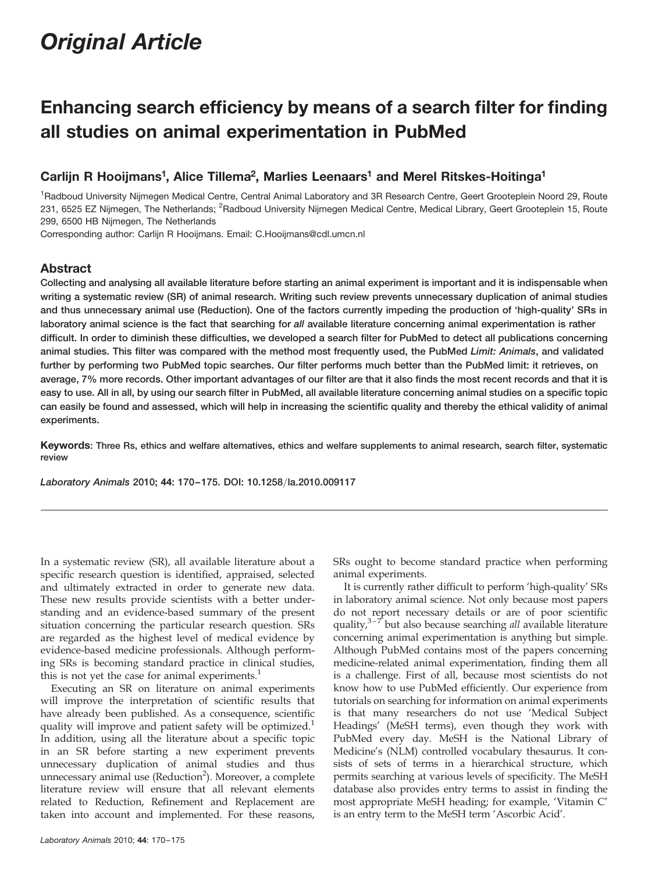# Original Article

# Enhancing search efficiency by means of a search filter for finding all studies on animal experimentation in PubMed

## Carlijn R Hooijmans<sup>1</sup>, Alice Tillema<sup>2</sup>, Marlies Leenaars<sup>1</sup> and Merel Ritskes-Hoitinga<sup>1</sup>

<sup>1</sup>Radboud University Nijmegen Medical Centre, Central Animal Laboratory and 3R Research Centre, Geert Grooteplein Noord 29, Route 231, 6525 EZ Nijmegen, The Netherlands; <sup>2</sup>Radboud University Nijmegen Medical Centre, Medical Library, Geert Grooteplein 15, Route 299, 6500 HB Nijmegen, The Netherlands

Corresponding author: Carlijn R Hooijmans. Email: C.Hooijmans@cdl.umcn.nl

# Abstract

Collecting and analysing all available literature before starting an animal experiment is important and it is indispensable when writing a systematic review (SR) of animal research. Writing such review prevents unnecessary duplication of animal studies and thus unnecessary animal use (Reduction). One of the factors currently impeding the production of 'high-quality' SRs in laboratory animal science is the fact that searching for all available literature concerning animal experimentation is rather difficult. In order to diminish these difficulties, we developed a search filter for PubMed to detect all publications concerning animal studies. This filter was compared with the method most frequently used, the PubMed Limit: Animals, and validated further by performing two PubMed topic searches. Our filter performs much better than the PubMed limit: it retrieves, on average, 7% more records. Other important advantages of our filter are that it also finds the most recent records and that it is easy to use. All in all, by using our search filter in PubMed, all available literature concerning animal studies on a specific topic can easily be found and assessed, which will help in increasing the scientific quality and thereby the ethical validity of animal experiments.

Keywords: Three Rs, ethics and welfare alternatives, ethics and welfare supplements to animal research, search filter, systematic review

Laboratory Animals 2010; 44: 170–175. DOI: 10.1258/la.2010.009117

In a systematic review (SR), all available literature about a specific research question is identified, appraised, selected and ultimately extracted in order to generate new data. These new results provide scientists with a better understanding and an evidence-based summary of the present situation concerning the particular research question. SRs are regarded as the highest level of medical evidence by evidence-based medicine professionals. Although performing SRs is becoming standard practice in clinical studies, this is not yet the case for animal experiments. $<sup>1</sup>$ </sup>

Executing an SR on literature on animal experiments will improve the interpretation of scientific results that have already been published. As a consequence, scientific quality will improve and patient safety will be optimized.<sup>1</sup> In addition, using all the literature about a specific topic in an SR before starting a new experiment prevents unnecessary duplication of animal studies and thus unnecessary animal use (Reduction<sup>2</sup>). Moreover, a complete literature review will ensure that all relevant elements related to Reduction, Refinement and Replacement are taken into account and implemented. For these reasons, SRs ought to become standard practice when performing animal experiments.

It is currently rather difficult to perform 'high-quality' SRs in laboratory animal science. Not only because most papers do not report necessary details or are of poor scientific quality, $3-7$  but also because searching *all* available literature concerning animal experimentation is anything but simple. Although PubMed contains most of the papers concerning medicine-related animal experimentation, finding them all is a challenge. First of all, because most scientists do not know how to use PubMed efficiently. Our experience from tutorials on searching for information on animal experiments is that many researchers do not use 'Medical Subject Headings' (MeSH terms), even though they work with PubMed every day. MeSH is the National Library of Medicine's (NLM) controlled vocabulary thesaurus. It consists of sets of terms in a hierarchical structure, which permits searching at various levels of specificity. The MeSH database also provides entry terms to assist in finding the most appropriate MeSH heading; for example, 'Vitamin C' is an entry term to the MeSH term 'Ascorbic Acid'.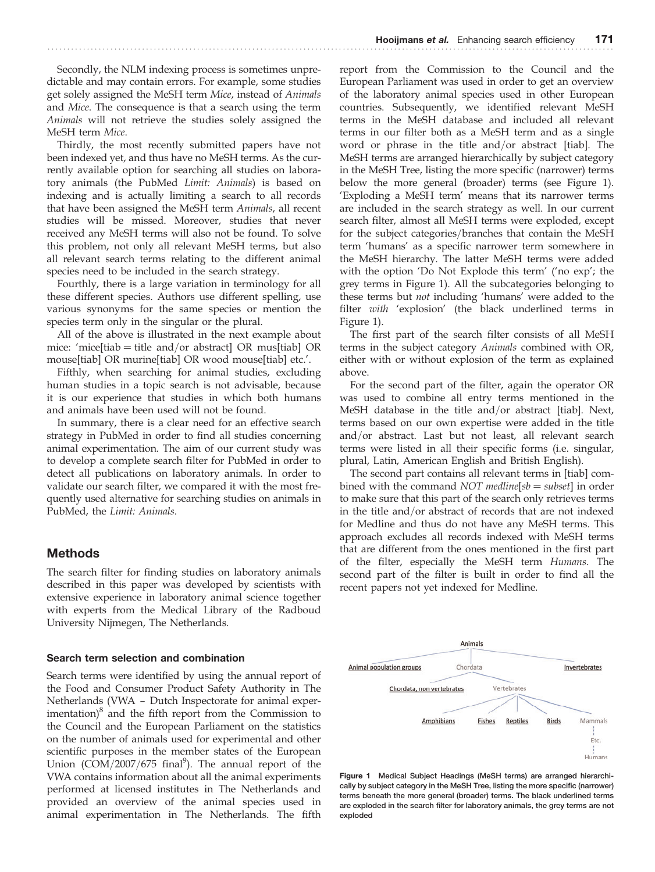Secondly, the NLM indexing process is sometimes unpredictable and may contain errors. For example, some studies get solely assigned the MeSH term Mice, instead of Animals and Mice. The consequence is that a search using the term Animals will not retrieve the studies solely assigned the MeSH term Mice.

Thirdly, the most recently submitted papers have not been indexed yet, and thus have no MeSH terms. As the currently available option for searching all studies on laboratory animals (the PubMed Limit: Animals) is based on indexing and is actually limiting a search to all records that have been assigned the MeSH term Animals, all recent studies will be missed. Moreover, studies that never received any MeSH terms will also not be found. To solve this problem, not only all relevant MeSH terms, but also all relevant search terms relating to the different animal species need to be included in the search strategy.

Fourthly, there is a large variation in terminology for all these different species. Authors use different spelling, use various synonyms for the same species or mention the species term only in the singular or the plural.

All of the above is illustrated in the next example about mice: 'mice[tiab = title and/or abstract] OR mus[tiab] OR mouse[tiab] OR murine[tiab] OR wood mouse[tiab] etc.'.

Fifthly, when searching for animal studies, excluding human studies in a topic search is not advisable, because it is our experience that studies in which both humans and animals have been used will not be found.

In summary, there is a clear need for an effective search strategy in PubMed in order to find all studies concerning animal experimentation. The aim of our current study was to develop a complete search filter for PubMed in order to detect all publications on laboratory animals. In order to validate our search filter, we compared it with the most frequently used alternative for searching studies on animals in PubMed, the Limit: Animals.

## Methods

The search filter for finding studies on laboratory animals described in this paper was developed by scientists with extensive experience in laboratory animal science together with experts from the Medical Library of the Radboud University Nijmegen, The Netherlands.

## Search term selection and combination

Search terms were identified by using the annual report of the Food and Consumer Product Safety Authority in The Netherlands (VWA – Dutch Inspectorate for animal experimentation) $8$  and the fifth report from the Commission to the Council and the European Parliament on the statistics on the number of animals used for experimental and other scientific purposes in the member states of the European Union  $(\overrightarrow{COM}/2007/675 \text{ final}^9)$ . The annual report of the VWA contains information about all the animal experiments performed at licensed institutes in The Netherlands and provided an overview of the animal species used in animal experimentation in The Netherlands. The fifth

report from the Commission to the Council and the European Parliament was used in order to get an overview of the laboratory animal species used in other European countries. Subsequently, we identified relevant MeSH terms in the MeSH database and included all relevant terms in our filter both as a MeSH term and as a single word or phrase in the title and/or abstract [tiab]. The MeSH terms are arranged hierarchically by subject category in the MeSH Tree, listing the more specific (narrower) terms below the more general (broader) terms (see Figure 1). 'Exploding a MeSH term' means that its narrower terms are included in the search strategy as well. In our current search filter, almost all MeSH terms were exploded, except for the subject categories/branches that contain the MeSH term 'humans' as a specific narrower term somewhere in the MeSH hierarchy. The latter MeSH terms were added with the option 'Do Not Explode this term' ('no exp'; the grey terms in Figure 1). All the subcategories belonging to these terms but not including 'humans' were added to the filter with 'explosion' (the black underlined terms in Figure 1).

The first part of the search filter consists of all MeSH terms in the subject category Animals combined with OR, either with or without explosion of the term as explained above.

For the second part of the filter, again the operator OR was used to combine all entry terms mentioned in the MeSH database in the title and/or abstract [tiab]. Next, terms based on our own expertise were added in the title and/or abstract. Last but not least, all relevant search terms were listed in all their specific forms (i.e. singular, plural, Latin, American English and British English).

The second part contains all relevant terms in [tiab] combined with the command NOT medline[ $sb = subset$ ] in order to make sure that this part of the search only retrieves terms in the title and/or abstract of records that are not indexed for Medline and thus do not have any MeSH terms. This approach excludes all records indexed with MeSH terms that are different from the ones mentioned in the first part of the filter, especially the MeSH term Humans. The second part of the filter is built in order to find all the recent papers not yet indexed for Medline.



Figure 1 Medical Subject Headings (MeSH terms) are arranged hierarchically by subject category in the MeSH Tree, listing the more specific (narrower) terms beneath the more general (broader) terms. The black underlined terms are exploded in the search filter for laboratory animals, the grey terms are not exploded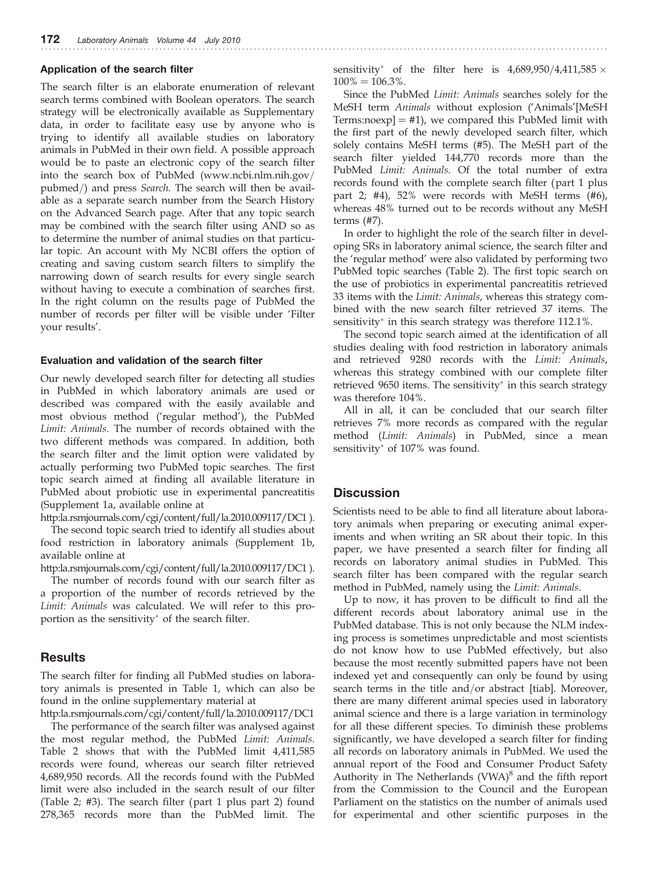## Application of the search filter

The search filter is an elaborate enumeration of relevant search terms combined with Boolean operators. The search strategy will be electronically available as Supplementary data, in order to facilitate easy use by anyone who is trying to identify all available studies on laboratory animals in PubMed in their own field. A possible approach would be to paste an electronic copy of the search filter into the search box of PubMed (www.ncbi.nlm.nih.gov/ pubmed/) and press Search. The search will then be available as a separate search number from the Search History on the Advanced Search page. After that any topic search may be combined with the search filter using AND so as to determine the number of animal studies on that particular topic. An account with My NCBI offers the option of creating and saving custom search filters to simplify the narrowing down of search results for every single search without having to execute a combination of searches first. In the right column on the results page of PubMed the number of records per filter will be visible under 'Filter your results'.

### Evaluation and validation of the search filter

Our newly developed search filter for detecting all studies in PubMed in which laboratory animals are used or described was compared with the easily available and most obvious method ('regular method'), the PubMed Limit: Animals. The number of records obtained with the two different methods was compared. In addition, both the search filter and the limit option were validated by actually performing two PubMed topic searches. The first topic search aimed at finding all available literature in PubMed about probiotic use in experimental pancreatitis (Supplement 1a, available online at

http:la.rsmjournals.com/cgi/content/full/la.2010.009117/DC1 ).

The second topic search tried to identify all studies about food restriction in laboratory animals (Supplement 1b, available online at

http:la.rsmjournals.com/cgi/content/full/la.2010.009117/DC1 ).

The number of records found with our search filter as a proportion of the number of records retrieved by the Limit: Animals was calculated. We will refer to this proportion as the sensitivity<sup>\*</sup> of the search filter.

## **Results**

The search filter for finding all PubMed studies on laboratory animals is presented in Table 1, which can also be found in the online supplementary material at

http:la.rsmjournals.com/cgi/content/full/la.2010.009117/DC1

The performance of the search filter was analysed against the most regular method, the PubMed Limit: Animals. Table 2 shows that with the PubMed limit 4,411,585 records were found, whereas our search filter retrieved 4,689,950 records. All the records found with the PubMed limit were also included in the search result of our filter (Table 2; #3). The search filter (part 1 plus part 2) found 278,365 records more than the PubMed limit. The

sensitivity\* of the filter here is  $4,689,950/4,411,585 \times$  $100\% = 106.3\%$ .

Since the PubMed Limit: Animals searches solely for the MeSH term Animals without explosion ('Animals'[MeSH Terms:noexp $] = #1$ , we compared this PubMed limit with the first part of the newly developed search filter, which solely contains MeSH terms (#5). The MeSH part of the search filter yielded 144,770 records more than the PubMed Limit: Animals. Of the total number of extra records found with the complete search filter (part 1 plus part 2; #4), 52% were records with MeSH terms (#6), whereas 48% turned out to be records without any MeSH terms (#7).

In order to highlight the role of the search filter in developing SRs in laboratory animal science, the search filter and the 'regular method' were also validated by performing two PubMed topic searches (Table 2). The first topic search on the use of probiotics in experimental pancreatitis retrieved 33 items with the Limit: Animals, whereas this strategy combined with the new search filter retrieved 37 items. The sensitivity<sup>\*</sup> in this search strategy was therefore 112.1%.

The second topic search aimed at the identification of all studies dealing with food restriction in laboratory animals and retrieved 9280 records with the Limit: Animals, whereas this strategy combined with our complete filter retrieved 9650 items. The sensitivity<sup>\*</sup> in this search strategy was therefore 104%.

All in all, it can be concluded that our search filter retrieves 7% more records as compared with the regular method (Limit: Animals) in PubMed, since a mean sensitivity<sup>\*</sup> of 107% was found.

## **Discussion**

Scientists need to be able to find all literature about laboratory animals when preparing or executing animal experiments and when writing an SR about their topic. In this paper, we have presented a search filter for finding all records on laboratory animal studies in PubMed. This search filter has been compared with the regular search method in PubMed, namely using the Limit: Animals.

Up to now, it has proven to be difficult to find all the different records about laboratory animal use in the PubMed database. This is not only because the NLM indexing process is sometimes unpredictable and most scientists do not know how to use PubMed effectively, but also because the most recently submitted papers have not been indexed yet and consequently can only be found by using search terms in the title and/or abstract [tiab]. Moreover, there are many different animal species used in laboratory animal science and there is a large variation in terminology for all these different species. To diminish these problems significantly, we have developed a search filter for finding all records on laboratory animals in PubMed. We used the annual report of the Food and Consumer Product Safety Authority in The Netherlands  $(VWA)^8$  and the fifth report from the Commission to the Council and the European Parliament on the statistics on the number of animals used for experimental and other scientific purposes in the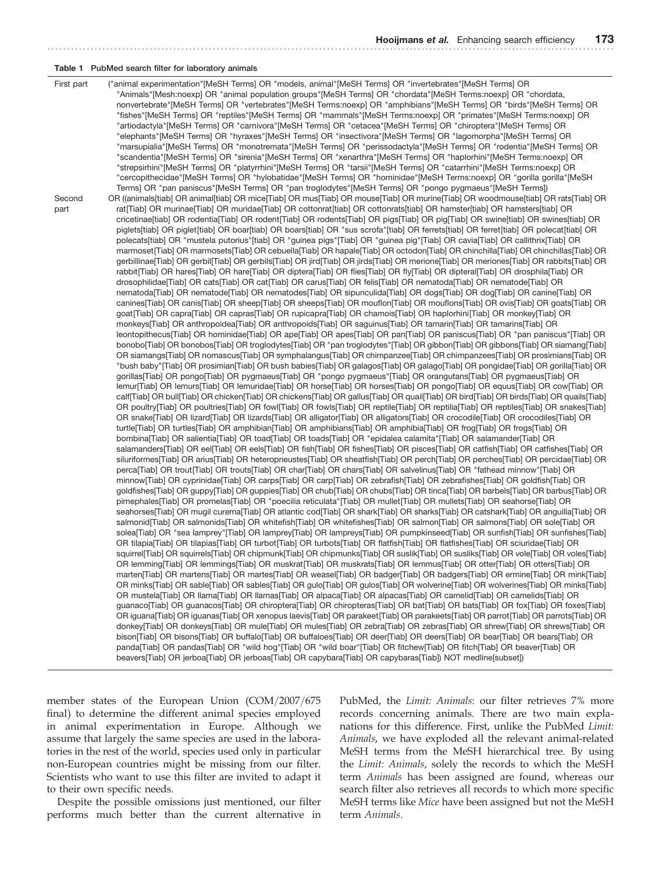#### Table 1 PubMed search filter for laboratory animals

First part ("animal experimentation"[MeSH Terms] OR "models, animal"[MeSH Terms] OR "invertebrates"[MeSH Terms] OR "Animals"[Mesh:noexp] OR "animal population groups"[MeSH Terms] OR "chordata"[MeSH Terms:noexp] OR "chordata, nonvertebrate"[MeSH Terms] OR "vertebrates"[MeSH Terms:noexp] OR "amphibians"[MeSH Terms] OR "birds"[MeSH Terms] OR "fishes"[MeSH Terms] OR "reptiles"[MeSH Terms] OR "mammals"[MeSH Terms:noexp] OR "primates"[MeSH Terms:noexp] OR "artiodactyla"[MeSH Terms] OR "carnivora"[MeSH Terms] OR "cetacea"[MeSH Terms] OR "chiroptera"[MeSH Terms] OR "elephants"[MeSH Terms] OR "hyraxes"[MeSH Terms] OR "insectivora"[MeSH Terms] OR "lagomorpha"[MeSH Terms] OR "marsupialia"[MeSH Terms] OR "monotremata"[MeSH Terms] OR "perissodactyla"[MeSH Terms] OR "rodentia"[MeSH Terms] OR "scandentia"[MeSH Terms] OR "sirenia"[MeSH Terms] OR "xenarthra"[MeSH Terms] OR "haplorhini"[MeSH Terms:noexp] OR "strepsirhini"[MeSH Terms] OR "platyrrhini"[MeSH Terms] OR "tarsii"[MeSH Terms] OR "catarrhini"[MeSH Terms:noexp] OR "cercopithecidae"[MeSH Terms] OR "hylobatidae"[MeSH Terms] OR "hominidae"[MeSH Terms:noexp] OR "gorilla gorilla"[MeSH Terms] OR "pan paniscus"[MeSH Terms] OR "pan troglodytes"[MeSH Terms] OR "pongo pygmaeus"[MeSH Terms]) **Second** part OR ((animals[tiab] OR animal[tiab] OR mice[Tiab] OR mus[Tiab] OR mouse[Tiab] OR murine[Tiab] OR woodmouse[tiab] OR rats[Tiab] OR rat[Tiab] OR murinae[Tiab] OR muridae[Tiab] OR cottonrat[tiab] OR cottonrats[tiab] OR hamster[tiab] OR hamsters[tiab] OR cricetinae[tiab] OR rodentia[Tiab] OR rodent[Tiab] OR rodents[Tiab] OR pigs[Tiab] OR pig[Tiab] OR swine[tiab] OR swines[tiab] OR piglets[tiab] OR piglet[tiab] OR boar[tiab] OR boars[tiab] OR "sus scrofa"[tiab] OR ferrets[tiab] OR ferret[tiab] OR polecat[tiab] OR polecats[tiab] OR "mustela putorius"[tiab] OR "guinea pigs"[Tiab] OR "guinea pig"[Tiab] OR cavia[Tiab] OR callithrix[Tiab] OR marmoset[Tiab] OR marmosets[Tiab] OR cebuella[Tiab] OR hapale[Tiab] OR octodon[Tiab] OR chinchilla[Tiab] OR chinchillas[Tiab] OR gerbillinae[Tiab] OR gerbil[Tiab] OR gerbils[Tiab] OR jird[Tiab] OR jirds[Tiab] OR merione[Tiab] OR meriones[Tiab] OR rabbits[Tiab] OR rabbit[Tiab] OR hares[Tiab] OR hare[Tiab] OR diptera[Tiab] OR flies[Tiab] OR fly[Tiab] OR dipteral[Tiab] OR drosphila[Tiab] OR drosophilidae[Tiab] OR cats[Tiab] OR cat[Tiab] OR carus[Tiab] OR felis[Tiab] OR nematoda[Tiab] OR nematode[Tiab] OR nematoda[Tiab] OR nematode[Tiab] OR nematodes[Tiab] OR sipunculida[Tiab] OR dogs[Tiab] OR dog[Tiab] OR canine[Tiab] OR canines[Tiab] OR canis[Tiab] OR sheep[Tiab] OR sheeps[Tiab] OR mouflon[Tiab] OR mouflons[Tiab] OR ovis[Tiab] OR goats[Tiab] OR goat[Tiab] OR capra[Tiab] OR capras[Tiab] OR rupicapra[Tiab] OR chamois[Tiab] OR haplorhini[Tiab] OR monkey[Tiab] OR monkeys[Tiab] OR anthropoidea[Tiab] OR anthropoids[Tiab] OR saguinus[Tiab] OR tamarin[Tiab] OR tamarins[Tiab] OR leontopithecus[Tiab] OR hominidae[Tiab] OR ape[Tiab] OR apes[Tiab] OR pan[Tiab] OR paniscus[Tiab] OR "pan paniscus"[Tiab] OR bonobo[Tiab] OR bonobos[Tiab] OR troglodytes[Tiab] OR "pan troglodytes"[Tiab] OR gibbon[Tiab] OR gibbons[Tiab] OR siamang[Tiab] OR siamangs[Tiab] OR nomascus[Tiab] OR symphalangus[Tiab] OR chimpanzee[Tiab] OR chimpanzees[Tiab] OR prosimians[Tiab] OR "bush baby"[Tiab] OR prosimian[Tiab] OR bush babies[Tiab] OR galagos[Tiab] OR galago[Tiab] OR pongidae[Tiab] OR gorilla[Tiab] OR gorillas[Tiab] OR pongo[Tiab] OR pygmaeus[Tiab] OR "pongo pygmaeus"[Tiab] OR orangutans[Tiab] OR pygmaeus[Tiab] OR lemur[Tiab] OR lemurs[Tiab] OR lemuridae[Tiab] OR horse[Tiab] OR horses[Tiab] OR pongo[Tiab] OR equus[Tiab] OR cow[Tiab] OR calf[Tiab] OR bull[Tiab] OR chicken[Tiab] OR chickens[Tiab] OR gallus[Tiab] OR quail[Tiab] OR bird[Tiab] OR birds[Tiab] OR quails[Tiab] OR poultry[Tiab] OR poultries[Tiab] OR fowl[Tiab] OR fowls[Tiab] OR reptile[Tiab] OR reptilia[Tiab] OR reptiles[Tiab] OR snakes[Tiab] OR snake[Tiab] OR lizard[Tiab] OR lizards[Tiab] OR alligator[Tiab] OR alligators[Tiab] OR crocodile[Tiab] OR crocodiles[Tiab] OR turtle[Tiab] OR turtles[Tiab] OR amphibian[Tiab] OR amphibians[Tiab] OR amphibia[Tiab] OR frog[Tiab] OR frogs[Tiab] OR bombina[Tiab] OR salientia[Tiab] OR toad[Tiab] OR toads[Tiab] OR "epidalea calamita"[Tiab] OR salamander[Tiab] OR salamanders[Tiab] OR eel[Tiab] OR eels[Tiab] OR fish[Tiab] OR fishes[Tiab] OR pisces[Tiab] OR catfish[Tiab] OR catfishes[Tiab] OR siluriformes[Tiab] OR arius[Tiab] OR heteropneustes[Tiab] OR sheatfish[Tiab] OR perch[Tiab] OR perches[Tiab] OR percidae[Tiab] OR perca[Tiab] OR trout[Tiab] OR trouts[Tiab] OR char[Tiab] OR chars[Tiab] OR salvelinus[Tiab] OR "fathead minnow"[Tiab] OR minnow[Tiab] OR cyprinidae[Tiab] OR carps[Tiab] OR carp[Tiab] OR zebrafish[Tiab] OR zebrafishes[Tiab] OR goldfish[Tiab] OR goldfishes[Tiab] OR guppy[Tiab] OR guppies[Tiab] OR chub[Tiab] OR chubs[Tiab] OR tinca[Tiab] OR barbels[Tiab] OR barbus[Tiab] OR pimephales[Tiab] OR promelas[Tiab] OR "poecilia reticulata"[Tiab] OR mullet[Tiab] OR mullets[Tiab] OR seahorse[Tiab] OR seahorses[Tiab] OR mugil curema[Tiab] OR atlantic cod[Tiab] OR shark[Tiab] OR sharks[Tiab] OR catshark[Tiab] OR anguilla[Tiab] OR salmonid[Tiab] OR salmonids[Tiab] OR whitefish[Tiab] OR whitefishes[Tiab] OR salmon[Tiab] OR salmons[Tiab] OR sole[Tiab] OR solea[Tiab] OR "sea lamprey"[Tiab] OR lamprey[Tiab] OR lampreys[Tiab] OR pumpkinseed[Tiab] OR sunfish[Tiab] OR sunfishes[Tiab] OR tilapia[Tiab] OR tilapias[Tiab] OR turbot[Tiab] OR turbots[Tiab] OR flatfish[Tiab] OR flatfishes[Tiab] OR sciuridae[Tiab] OR squirrel[Tiab] OR squirrels[Tiab] OR chipmunk[Tiab] OR chipmunks[Tiab] OR suslik[Tiab] OR susliks[Tiab] OR vole[Tiab] OR voles[Tiab] OR lemming[Tiab] OR lemmings[Tiab] OR muskrat[Tiab] OR muskrats[Tiab] OR lemmus[Tiab] OR otter[Tiab] OR otters[Tiab] OR marten[Tiab] OR martens[Tiab] OR martes[Tiab] OR weasel[Tiab] OR badger[Tiab] OR badgers[Tiab] OR ermine[Tiab] OR mink[Tiab] OR minks[Tiab] OR sable[Tiab] OR sables[Tiab] OR gulo[Tiab] OR gulos[Tiab] OR wolverine[Tiab] OR wolverines[Tiab] OR minks[Tiab] OR mustela[Tiab] OR llama[Tiab] OR llamas[Tiab] OR alpaca[Tiab] OR alpacas[Tiab] OR camelid[Tiab] OR camelids[Tiab] OR guanaco[Tiab] OR guanacos[Tiab] OR chiroptera[Tiab] OR chiropteras[Tiab] OR bat[Tiab] OR bats[Tiab] OR fox[Tiab] OR foxes[Tiab] OR iguana[Tiab] OR iguanas[Tiab] OR xenopus laevis[Tiab] OR parakeet[Tiab] OR parakeets[Tiab] OR parrot[Tiab] OR parrots[Tiab] OR donkey[Tiab] OR donkeys[Tiab] OR mule[Tiab] OR mules[Tiab] OR zebra[Tiab] OR zebras[Tiab] OR shrew[Tiab] OR shrews[Tiab] OR bison[Tiab] OR bisons[Tiab] OR buffalo[Tiab] OR buffaloes[Tiab] OR deer[Tiab] OR deers[Tiab] OR bear[Tiab] OR bears[Tiab] OR panda[Tiab] OR pandas[Tiab] OR "wild hog"[Tiab] OR "wild boar"[Tiab] OR fitchew[Tiab] OR fitch[Tiab] OR beaver[Tiab] OR beavers[Tiab] OR jerboa[Tiab] OR jerboas[Tiab] OR capybara[Tiab] OR capybaras[Tiab]) NOT medline[subset])

member states of the European Union (COM/2007/675 final) to determine the different animal species employed in animal experimentation in Europe. Although we assume that largely the same species are used in the laboratories in the rest of the world, species used only in particular non-European countries might be missing from our filter. Scientists who want to use this filter are invited to adapt it to their own specific needs.

Despite the possible omissions just mentioned, our filter performs much better than the current alternative in PubMed, the Limit: Animals: our filter retrieves 7% more records concerning animals. There are two main explanations for this difference. First, unlike the PubMed Limit: Animals, we have exploded all the relevant animal-related MeSH terms from the MeSH hierarchical tree. By using the Limit: Animals, solely the records to which the MeSH term Animals has been assigned are found, whereas our search filter also retrieves all records to which more specific MeSH terms like Mice have been assigned but not the MeSH term Animals.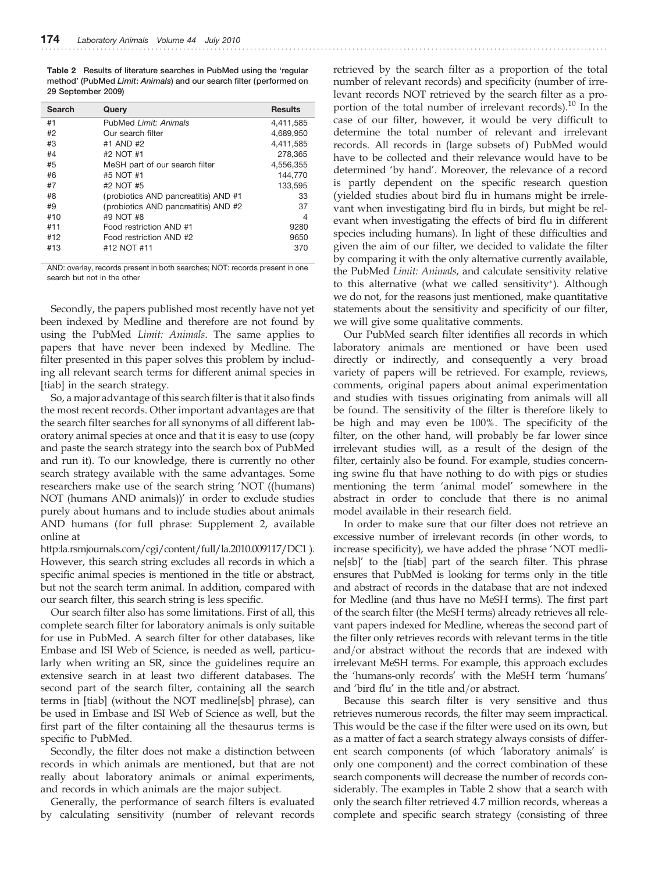Table 2 Results of literature searches in PubMed using the 'regular method' (PubMed Limit: Animals) and our search filter (performed on 29 September 2009)

| <b>Search</b> | Query                                | <b>Results</b> |
|---------------|--------------------------------------|----------------|
| #1            | PubMed Limit: Animals                | 4,411,585      |
| #2            | Our search filter                    | 4.689.950      |
| #3            | #1 AND #2                            | 4,411,585      |
| #4            | #2 NOT #1                            | 278,365        |
| #5            | MeSH part of our search filter       | 4,556,355      |
| #6            | #5 NOT #1                            | 144.770        |
| #7            | #2 NOT #5                            | 133.595        |
| #8            | (probiotics AND pancreatitis) AND #1 | 33             |
| #9            | (probiotics AND pancreatitis) AND #2 | 37             |
| #10           | #9 NOT #8                            | 4              |
| #11           | Food restriction AND #1              | 9280           |
| #12           | Food restriction AND #2              | 9650           |
| #13           | #12 NOT #11                          | 370            |

AND: overlay, records present in both searches; NOT: records present in one search but not in the other

Secondly, the papers published most recently have not yet been indexed by Medline and therefore are not found by using the PubMed Limit: Animals. The same applies to papers that have never been indexed by Medline. The filter presented in this paper solves this problem by including all relevant search terms for different animal species in [tiab] in the search strategy.

So, a major advantage of this search filter is that it also finds the most recent records. Other important advantages are that the search filter searches for all synonyms of all different laboratory animal species at once and that it is easy to use (copy and paste the search strategy into the search box of PubMed and run it). To our knowledge, there is currently no other search strategy available with the same advantages. Some researchers make use of the search string 'NOT ((humans) NOT (humans AND animals))' in order to exclude studies purely about humans and to include studies about animals AND humans (for full phrase: Supplement 2, available online at

http:la.rsmjournals.com/cgi/content/full/la.2010.009117/DC1 ). However, this search string excludes all records in which a specific animal species is mentioned in the title or abstract, but not the search term animal. In addition, compared with our search filter, this search string is less specific.

Our search filter also has some limitations. First of all, this complete search filter for laboratory animals is only suitable for use in PubMed. A search filter for other databases, like Embase and ISI Web of Science, is needed as well, particularly when writing an SR, since the guidelines require an extensive search in at least two different databases. The second part of the search filter, containing all the search terms in [tiab] (without the NOT medline[sb] phrase), can be used in Embase and ISI Web of Science as well, but the first part of the filter containing all the thesaurus terms is specific to PubMed.

Secondly, the filter does not make a distinction between records in which animals are mentioned, but that are not really about laboratory animals or animal experiments, and records in which animals are the major subject.

Generally, the performance of search filters is evaluated by calculating sensitivity (number of relevant records

retrieved by the search filter as a proportion of the total number of relevant records) and specificity (number of irrelevant records NOT retrieved by the search filter as a proportion of the total number of irrelevant records).<sup>10</sup> In the case of our filter, however, it would be very difficult to determine the total number of relevant and irrelevant records. All records in (large subsets of) PubMed would have to be collected and their relevance would have to be determined 'by hand'. Moreover, the relevance of a record is partly dependent on the specific research question (yielded studies about bird flu in humans might be irrelevant when investigating bird flu in birds, but might be relevant when investigating the effects of bird flu in different species including humans). In light of these difficulties and given the aim of our filter, we decided to validate the filter by comparing it with the only alternative currently available, the PubMed Limit: Animals, and calculate sensitivity relative to this alternative (what we called sensitivity\*). Although we do not, for the reasons just mentioned, make quantitative statements about the sensitivity and specificity of our filter, we will give some qualitative comments.

Our PubMed search filter identifies all records in which laboratory animals are mentioned or have been used directly or indirectly, and consequently a very broad variety of papers will be retrieved. For example, reviews, comments, original papers about animal experimentation and studies with tissues originating from animals will all be found. The sensitivity of the filter is therefore likely to be high and may even be 100%. The specificity of the filter, on the other hand, will probably be far lower since irrelevant studies will, as a result of the design of the filter, certainly also be found. For example, studies concerning swine flu that have nothing to do with pigs or studies mentioning the term 'animal model' somewhere in the abstract in order to conclude that there is no animal model available in their research field.

In order to make sure that our filter does not retrieve an excessive number of irrelevant records (in other words, to increase specificity), we have added the phrase 'NOT medline[sb]' to the [tiab] part of the search filter. This phrase ensures that PubMed is looking for terms only in the title and abstract of records in the database that are not indexed for Medline (and thus have no MeSH terms). The first part of the search filter (the MeSH terms) already retrieves all relevant papers indexed for Medline, whereas the second part of the filter only retrieves records with relevant terms in the title and/or abstract without the records that are indexed with irrelevant MeSH terms. For example, this approach excludes the 'humans-only records' with the MeSH term 'humans' and 'bird flu' in the title and/or abstract.

Because this search filter is very sensitive and thus retrieves numerous records, the filter may seem impractical. This would be the case if the filter were used on its own, but as a matter of fact a search strategy always consists of different search components (of which 'laboratory animals' is only one component) and the correct combination of these search components will decrease the number of records considerably. The examples in Table 2 show that a search with only the search filter retrieved 4.7 million records, whereas a complete and specific search strategy (consisting of three